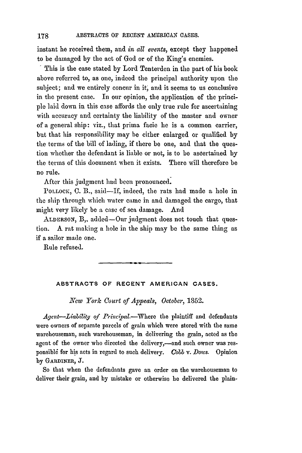instant he received them, and *in all events,* except they happened to be damaged by the act of God or of the King's enemies.

This is the case stated by Lord Tenterden in the part of his book above referred to, as one, indeed the principal authority upon the subject; and we entirely concur in *it,* and it seems to us conclusive in the present case. In our opinion, the application of the princi**ple** laid down in this case affords the only true rule for ascertaining with accuracy and certainty the liability of the master and owner of a general ship: viz., that prima facie he is a common carrier, but that his responsibility may be either enlarged or qualified by the terms of the bill of lading, if there be one, and that the question whether the defendant is liable or not, is to be ascertained **by** the terms of this document when it exists. There will therefore be no rule.

After this judgment had been pronounced.

POLLOCK, C. B., said-If, indeed, the rats had made a hole in the ship through which water came in and damaged the cargo, that might very likely be a case of sea damage. And

ALDERSON, B,, added-Our judgment does not touch that question. A rat making a hole in the ship may be the same thing as if **a** sailor made one.

Rule refused.

## ABSTRACTS OF RECENT AMERICAN **CASES.**

*New York Court of Appeals, October,* 1852.

Agent-Liability of Principal.-Where the plaintiff and defendants were owners of separate parcels of grain which were stored with the same warehouseman, such warehouseman, in delivering the grain, acted as the agent of the owner who directed the delivery,—and such owner was responsible for his acts in regard to such delivery. *Cobb v. Dows.* Opinion **by** GARDINER, J.

So that when the defendants gave an order on the warehouseman to deliver their grain, and by mistake or otherwise **he** delivered the plain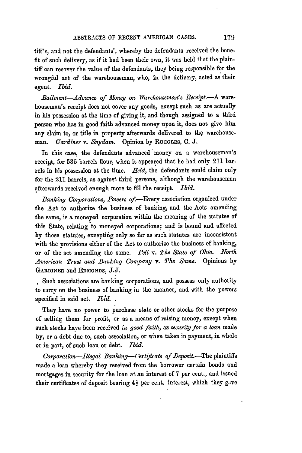tiff's, and not the defendants', whereby the defendants received the benefit of such delivery, as if it had been their own, it was held that the plaintiff can recover the value of the defendants, they being responsible for the wrongful act of the warehouseman, who, in the delivery, acted as their agent. *Ibid.*

*Bailment-Advance of .Money on Warehouseman's Receipt.-A* warehouseman's receipt does not cover any goods, except such as are actually in his possession at the time of giving it, and though assigned to a third person who has in good faith advanced money upon it, does not give him any claim to, or title in property afterwards delivered to **the** warehouseman. *Gardiner* v. Snydam. Opinion by Ruggues, C. J.

In this case, the defendants advanced money on a warehouseman's receipt, for **536** barrels flour, when it appeared that he had only 211 barrels in his possession at the time. *Held,* the defendants could claim only for the 211 barrels, as against third persons, although the warehouseman afterwards received enough more to fill the receipt. *Ibid.*

*Banking Corporations, Powers* of.-Every association organized under the Act to authorize the business of banking, and the Acts amending the same, is a moneyed corporation within the meaning of the statutes of this State, relating to moneyed corporations; and is bound and affected by those statutes, excepting only so far as such statutes are inconsistent with the provisions either of the Act to authorize the business of banking, or of the act amending the same. *Pell v. The State of Ohio. North American Trust and Banking Company v. The Same.* Opinions by **GARDINEr.** and **EDMONDS,** J.J.

Such associations are banking corporations, and possess only authority to carry on the business of banking in the manner, and with the powers specified in said act. **Ibid.**

They have no power to purchase state or other stocks for the purpose of selling them for profit, or as a means of raising money, except when such stocks have been received *in good faith*, as *security for a loan* made **by,** or a debt due to, such association, or when taken in payment, in whole or in part, of such loan or debt. *Ibid.*

*Corporation-Illegal Banking--'ertificate of Deposit.-The* plaintiffs made a loan whereby they received from the borrower certain bonds and mortgages in security for the loan at an interest of 7 per cent., and issued their certificates of deposit bearing  $4\frac{1}{2}$  per cent. interest, which they gave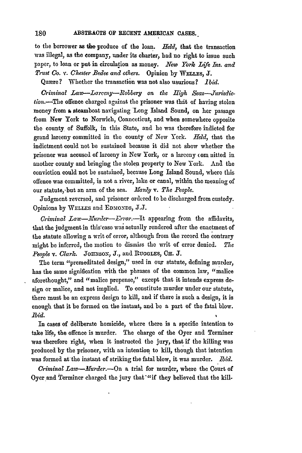to the borrower as the produce of the loan. *Held*, that the transaction was illegal, as the company, under **its** charter, bad no right to issue such paper, to loan or put in circulation as money. *New York Life Ins. and Trust Co. v. Chester Bedee and others.* Opinion **by** WmLLEs, **J.**

Quære? Whether the transaction was not also usurious? *Ibid.* 

Criminal Law-Larceny-Robbery on the High Seas-Jurisdiction.-The offence charged against the prisoner was that of having stolen money from **a** steamboat navigating Long Island Sound, on her passage from New York to Norwich, Connccticut, and when somewhere opposite the county of Suffolk, in this State, and he was therefore indicted for grand larceny committed in the county of New York. *Held,* that the indictment could not be sustained because it did not show whether the prisoner was accused of larceny in New York, or a larceny (om nitted in another county and bringing the stolen property to New York. And the conviction could not be sustained, because Long Island Sound, where this offence was committed, is not a river, lake or canal, within the meaning of our statute, but an arm of the sea. *Manly v. The People.* 

Judgment reversed, and prisoner ordered to be discharged from custody. Opinions by **WELLEs** and **EDMONDS, J.J.**

*Criminal Law-Murder-Error.*-It appearing from the affidavits, that the judgment in this'case was actually rendered after the enactment of the statute allowing a writ of error, although from the record the contrary might be inferred, the motion to dismiss the writ of error denied. *The People v. Clark.* JouzzsoNz, **J.,** and **RUGGLES, OH. J.**

The term "premeditated design," used in our statute, defining murder, has the same signification with the phrases of the common law, "malice aforethought," and "malice prepense," except that it intends express design or malice, and not implied. To constitute murder under our statute, there must be an express design to kill, and if there is such a design, it is enough that it be formed on the instant, and be a part of the fatal blow. *id.*

In cases of deliberate homicide, where there is a specific intention to take life, the offence is murder. The charge of the Oyer and Terminer was therefore right, when it instructed the jury, that if the killing was produced by the prisoner, with an intention to kill, though that intention was formed at the instant of striking the fatal blow, it was murder. *Ibid.*

*Criminal Law-Murder.-On* a trial for murder, where the Court of Oyer and Terminer charged the jury that "if they believed that the kill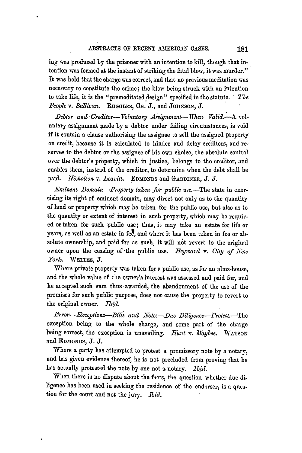ing was produced **by** the prisoner with an intention to kill, though that intention was formed at the instant of striking the fatal blow, it was murder." It was held that the charge was correct, and that no previous meditation was necessary to constitute the crime; the blow being struck with an intention to take life, it is the "premeditated design" specified in the statute. *The* People v. Sullivan. Ruggles, C<sub>H</sub>. J., and JOHNSON, J.

*Debtor and- Creditor- Voluntary Assignment- Wien Yaid.--k* voluntary assignment made by a debtor under failing circumstances, is void if it contain a clause authorising the assignee to sell the assigned property on credit, because it is calculated to binder and delay creditors, and reserves to the debtor or the assignee of his own choice, the absolute control over the debtor's property, which in justice, belongs to the creditor, and enables them, instead of the creditor, to determine when the debt shall be paid. *Nicholson v. Leavitt.* EDMONDs and GARDINER, **J.** *J.*

*Eminent Domain-Property taken for public use.*-The state in exercising its right of eminent domain, may direct not only as to the quantity of land or property which may be taken for the public use, but also as to the quantity or extent of interest in such property, which may be required or taken for such public use; thus, it may take an estate for life or years, as well as an estate in fee, and where it has been taken in fee or absolute ownership, and paid for as such, it will not revert to the original owner upon the ceasing of the public use. Heyward v. City of New *York.* **WELLEs, J.**

Where private property was taken for a public use, as for an alms-house, and the whole value of the owner's interest was assessed and paid for, and he accepted such sum thus awarded, the abandonment of the use of the premises for such public purpose, does not cause the property to revert to the original owner. *Ibid.*

*Error-Exceptions-Bills and Notes-Due Diligence-Protest.-The* exception being to the whole charge, and some part of the charge being correct, the exception is unavailing. *Hunt v. Maybee.* WATSON and **EDMONDS,** *J. J.*

Where a party has attempted to protest a promissory note by a notary, and has given evidence thereof, he is not precluded from proving that he has actually protested the note by one not a notary. *Ibid.*

When there is no dispute about the facts, the question whether due diligence has been used in seeking the residence of the endorser, is a question for the court and not the jury. *Ibid.*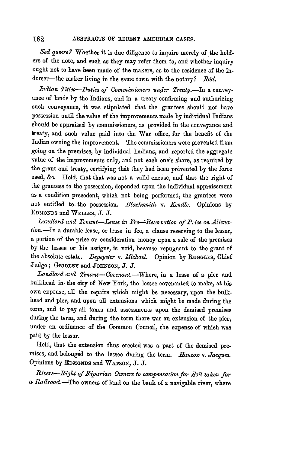## 182 **ABSTRACTS OF RECENT AMERICAN CASES.**

Sed quære? Whether it is due diligence to inquire merely of the holders of the note, and such as they may refer them to, and whether inquiry ought not to have been made of the makers, as to the residence of the indorser--the maker living in the same town with the notary? *Ibid.* 

*Indian Titles-Duties of Commissioners under Treaty.-In* a conveyance of lands by the Indians, and in a treaty confirming and authorizing such conveyance, it was stipulated that the grantees should not have possession until the value of the improvements made by individual Indians should be appraised by commissioners, as provided in the conveyance and treaty, and such value paid into the War office, for the benefit of the Indian owning the improvement. The commissioners were prevented from going on the premises, by individual Indians, and reported the aggregate value of the improvements only, and not each one's share, as required by the grant and treaty, certifying thit they had been prevented by the force used, &c. Held, that that was not a valid excuse, *and* that the right of the grantees to the possession, depended upon the individual appraisement as a condition precedent, which not being performed, the grantees were not entitled to the possession. *Blacksmith v. Kendle*. Opinions by **<sup>E</sup>'DUMONDS** and WEIrs, J. J.

Landlord and Tenant-Lease in Fec<sup>-+</sup>Reservation of Price on Alienation.-In a durable lease, or lease in fce, a clause reserving to the lessor, **a** portion of the price or consideration money upon a sale of the premises by the lessee or his assigns, is void, because repugnant to the grant of the absolute estate. *Depeyster v. Michael.* Opinion **by RuGOLES,** Chief Judge; **GRIDLEY** and **JOHNSON, J.** *J.*

*Landlord and Tenani-Covenant.-Where,* in **a** lease of a pier and bulkhead in. the city of New York, the lessee covenanted to make, at his own expense, all the repairs which might be necessary, upon the bulkhead and pier, and upon all extensions which might be made during the term, and to pay all taxes and assessments upon the demised premises during the term, and during the term there was an extension of the pier, under an ordinance of the Common Council, the expense of which was paid by the lessor.

Held, that the extension thus erected was a part of the demised premises, and belonged to the lessee during the term. *Hancox v. Jacques*. Opinions by **EDMONDS** and **WATSON, J.** *J.*

*Rivers-Right of Riparian Owners to compensatim for Soil taken for a Railroad.-The* Owners of land on the bank of a navigable river, where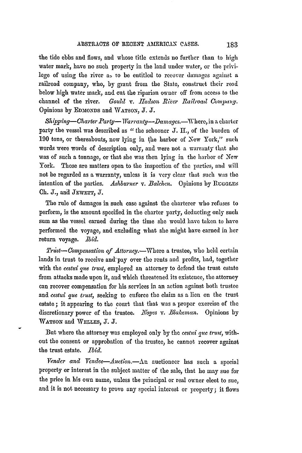the tide ebbs and flows, and whose title extends no further than to high water mark, have no such property in the land under water, or the privilege of using the river as to be entitled to recover damages against a railroad company, who, by grant from the State, construct their road below high water mark, and cut the riparian owner off from access to the channel of the river. *Gould v. Hudson River Railroad Company*. Opinions **by** EDMIONDS and VATSON, **J. J.**

*Shipping-Charter Party- Warranty-Damages.*-Where, in a charter party the vessel was described as "the schooner J. H., of the burden of 190 tons, or thereabouts, now lying in the harbor of New York," such words were words of description only, and were not a warranty that she was of such a tonnage, or that she was then lying in the harbor of New York. Those are matters open to the inspection of the parties, and will not be regarded as a warranty, unless it is very clear that such was the intention of the parties. Ashburner v. Balchen. Opinions by RUGGLES Ch. J., and **JEWETT,** J.

The rule of damages in such case against the charterer who refuses to perform, is the amount specified in the charter party, deducting only such sum as the vessel earned during the time she would have taken to have performed the voyage, and excluding what she might have earned in her return voyage. Ibid.

*Trust-Compensation of Attorney.*-Where a trustee, who held certain lands in trust to receive and pay over the rents and profits, had, together with the *cestui gue trust,* employed an attorney to defend the trust estate from attacks made upon it, and which threatened its existence, the attorney can recover compensation for his services in an action against both trustee and *cestui que trust,* seeking to enforce the claim as a lien on the trust estate **;** it appearing to the court that that was a proper exercise of the discretionary power of the trustee. Aroyes *v. Blakeman.* Opinions by WATSON and WELLES, J. J.

But where the attorney was employed only by the *cestui que trust*, without the consent or approbation of the trustee, he cannot recover against the trust estate. *Ibid.*

*Vender and Vendee-Auction.- An* auctioneer has such a special property or interest in the subject matter of the sale, that he may sue for the price in his own name, unless the principal or real owner elect to sue, and it is not necessary to prove any special interest or property; it flows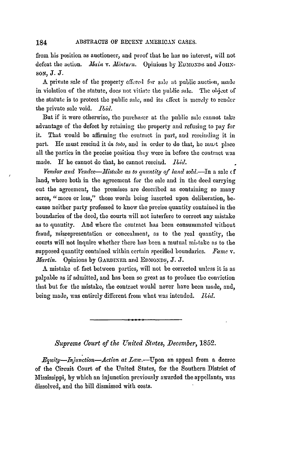from his position as auctioneer, and proof that he has no interest, will not defeat the action. Main v. Minturn. Opinions by EDMONDS and JOHN**soN,** J. J.

A private sale of the property offered *for* sale at public auction, made in violation of the statute, does not vitiate the public sale. The **object** of the statute is to protect the public sale, and its effect is merely to render the private sale void. *Ibid.* 

But if it were otherwise, the purchaser at the public sale cannot take advantage of the defect by retaining the property and refusing to pay for it. That would be affirming the contract in part, and rescinding it in part. He must rescind it *in toto*, and in order to do that, he must place all the parties in the precise position they were in before the contract was made. If he cannot do that, he cannot rescind. Ibid.

Vendor and Vendee-Mistake as to quantity of land sold.-In a sale of land, where both in the agreement for the sale and in the deed carrying out the agreement, the premises are described as containing so many acres, "more or less," those words being inserted upon deliberation, because neither party professed to know the precise quantity contained in the boundaries of the deed, the courts will not interfere to correct any mistake as to quantity. And where the contract has been consummated without fraud, misrepresentation or concealment, as to the real quantity, the courts will not inquire whether there has been a mutual mi-take as to the supposed quantity contained within certain specified boundaries. *Fame* v. *Martin.* Opinions by GARDINER and **ED30O2NDS,** J. J.

A mistake of. fact between parties, will not be corrected unless it is as palpable as if admitted, and has been so great as to produce the conviction that but for the mistake, the contract would never have been made, and, being made, was entirely different from what was intended. *id.*

*Supreme Court of the United States, December, 1852.* 

*Fquity--Injunction--Action at Law.*--Upon an appeal from a decree of the Circuit Court of the United States, for the Southern District of Mississippi, by which an injunction previously awarded the appellants, was dissolved, and the bill dismissed with costs.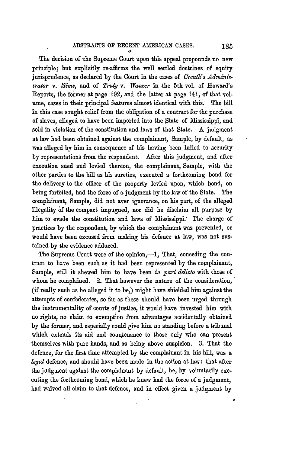The decision of the Supreme Court upon this appeal propounds no new principle; but explicitly re-affirms the well settled doctrines of equity jurisprudence, as declared **by** the Court in the cases of *Creath's Administrator v. Shm,* and of *Truly v. Wanzer* in -the **5th** vol. of Howard's Reports, the former at page 192, and the latter at page 141, of that volume, cases in their principal features almost identical with this. The bill in this case sought relief from the obligation of a contract for the purchase of slaves, alleged to have been imported into the State of Mississippi, and sold in violation of the constitution and laws of that State. A judgment at law had been obtained against the complainant, Sample, by default, as was alleged by him in consequence of his having been lulled to security **by** representations from the respondent. After this judgment, and after execution sued and levied thereon, the complainant, Sample, with the other parties to the bill as his sureties, executed a forthcoming bond for the delivery to the officer of the property levied upon, which bond, on being forfeited, had the force of a judgment by the law of the State. The complainant, Sample, did not aver ignorance, on his part, of the alleged illegality **6f** the compact impugned, nor did he disclaim all purpose by him to evade the constitution and laws of Mississippi: The charge of practices by the respondent, by which the complainant was prevented, or would have been excused from making his defence at law, was not sustained **by** the evidence adduced.

The Supreme Court were of the opinion,--1, That, conceding the contract to have been such as it had been represented by the complainant, Sample, still it shewed him to have been *in pari delicto* with those of whom he complained. 2. That however the nature of the consideration, (if really such as he alleged it to be,) might have shielded him against the attempts of confederates, so far as these should have been urged through the instrumentality of courts of justice, it would have invested him with no rights, no claim to exemption from advantages accidentally obtained by the former, and especially could give him no standing before a tribunal which extends its aid and countenance to those only who can present themselves with pure hands, and as being above suspicion. **3.** That the defence, for the first time attempted by the complainant in his bill, was a *legal* defence, and should have been made in the action at law: that after the judgment against the complainant by default, he, **by** voluntarily executing the forthcoming bond, which he knew had the force of a judgment, had waived all claim to that defence, and in effect given a judgment **by**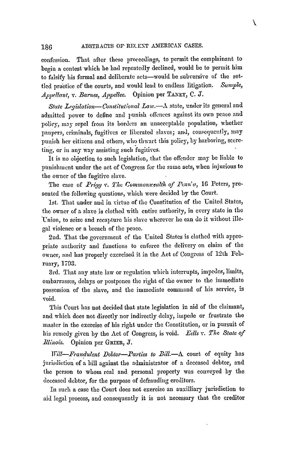## ABSTRACTS OF RECENT AMERICAN CASES. 186

confession. That after these proceedings, to permit the complainant to begin a contest which he had repeatedly declined, would **be** to permit him to falsify his formal and deliberate acts-would be subversive of the settled practice of the courts, and would lead to endless litigation. Sample, Appellant, v. Barnes, Appellee. Opinion per TANEY, C. J.

State Legislation--Constitutional Law. $-\Lambda$  state, under its general and admitted power to define and punish offences against its own peace and policy, may repel from its borders an unacceptable population, whether paupers, criminals, fugitives or liberated slaves; and, consequently, may punish her citizens and others, who thwart this policy, by harboring, scereting, or in any way assisting such fugitives.

It is no objection to such legislation, that the offender may **be** liable to punishment under the act of Congress for the same acts, when injurious to the owner of the fugitive slave.

The case of *Prigg v. The Commonwealth of Penn'a*, 16 Peters, presented the following questions, which were decided by the Court.

1st. That under and in virtue of the Constitution of the United States, the owner of a slave is clothed with entire authority, in every state in the Union, to seize and recapture his slave wherever he can do it without illegal violence or a breach of the peace.

2nd. That the government of the United States is clothed with appropriate authority and functions to enforce the delivery on claim of the owner, and has properly exercised it in the Act of Congress of 12th February, 1793.

3rd. That any state law or regulation which interrupts, impedes, limits, embarrasses, delays or postpones the right of the owner to the immediate possession of the slave, and the immediate command of his service, is void.

This Court has not decided that state legislation in aid of the claimant, and which does not directly nor indirectly delay, impede or frustrate the master in the exercise of his right under the Constitution, or in pursuit of his remedy given by the Act of Congress, is void. *Eells v. The State of Illinois.* Opinion per GRiER, J.

*Will-Fraudulent Debtor-Parties to Bill.*-A court of equity has jurisdiction of a bill against the administrator of a deceased debtor, and the person to whom real and personal property was conveyed by the deceased debtor, for the purpose of defrauding creditors.

In such a ease the Court does not exercise an auxilliary jurisdiction to aid legal process, and consequently it is not necessary that the creditor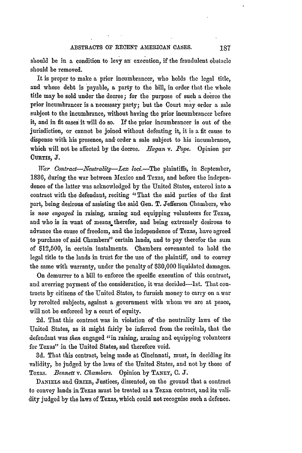should be in a condition to levy an execution, if the fraudulent obstacle should be removed.

It is proper to make a prior incumbrancer, who holds the legal title, and whose debt is payable, a party to the bill, in order that the whole title may be sold under the decree; for the purpose of such a decrce the prior incumbraneer is a necessary party; but the Court may order a sale subject to the incumbrance, without having the prior incumbrancer before it, and in fit cases it will do so. If the prior incumbrancer is out of the jurisdiction, or cannot be joined without defeating it, it is a fit cause to dispense with his presence, and order a sale subject to his incumbrance, which will not be affected by the decree. *Hagan v. Pope.* Opinion per **CURTIs, J.**

*War Contract-Neutrality-Lex loci.*-The plaintiffs, in September, 1836, during the war between Mexico and Texas, and before the independence of the latter was acknowledged by the United States, entered into a contract with the defendant, reciting "That the said parties of the first part, being desirous of assisting the said Gen. T. Jefferson Chambers, who is *now engaged* in raising, arming and equipping volunteers for Texas, and who is in want of means therefor, and being extremely desirous to advance the cause of freedom, and the independence of Texas, have agreed to purchase of said Chambers" certain lands, and to pay therefor the sum of \$12,500, in certain instalments. Chambers covenanted to hold the legal title to the lands in trust for the use of the plaintiff, and to convey the same with warranty, under the penalty of \$30,000 liquidated damages.

On demurrer to a bill to enforce the specific execution of this contract, and averring payment of the consideration, it was decided-Ist. That contracts **by** citizens of the United States, to furnish money to carry on a war by revolted subjects, against a government with whom we are at peace, will not be enforced by a court of equity.

**2d.** That this contract was in violation of -the neutrality laws of the United States, as it might fairly be inferred from the recitals, that the defendant was *then* engaged "in raising, arming and equipping volunteers for Texas" in the United States, and therefore void.

3d. That this contract, being made at Cincinnati, must, in deciding its validity, be judged by the laws of the United States, and not by those of Texas. *Bennett v. Chambers.* Opinion by **TANEY, 0. J.**

DANIELS and GRIER, Justices, dissented, on the ground that a contract to convey lands in Texas must be treated as a Texan contract, and its validity judged by the laws of Texas, which could not recognise such a defence.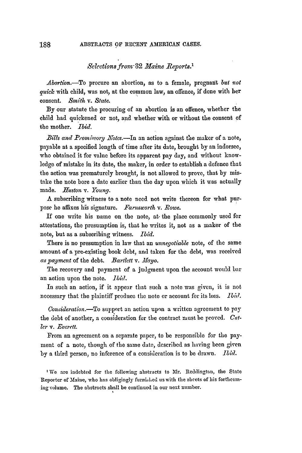## *Selections front32 Maine Reports.1*

*Abortion.-To* procure an abortion, as to a female, pregnant *but not quick* with child, was not, at the common law, an offence, if done with her consent. *Smith* v. State.

By our statute the procuring of an abortion is an offence, whether the child had quickened or not, and whether with or without the consent of the mother. *Ibid.*

*Bills and Promisory .'Motcs.-In* an action against **the** maker of a note, payable at a specified length of time after its date, brought by an indorsee, who obtained it for value before its apparent pay day, and without knowledge of mistake in its date, the maker, in order to establish a defence that the action was prematurely brought, is not allowed to prove, that by mistake the note bore a date earlier than the day upon which it was actually made. *Huston v. Young.*

A subscribing witness to a note need not write thereon for what purpose he affixes his signature. *Farnsworth v. Rowe.*

If one write his name on the note, at- the place commonly used for attestations, the presumption is, that he writes it, not as a maker of the note, but as a subscribing witness. *Ibid.*

There is no presumption in law that an *unnegotiable* note, of the same amount of a pre-existing book debt, and taken for the debt, was received *as 2ayment* of the debt. *Bartlett v. 'lMayo.*

The recovery and payment of a judgment upon the account would bar an action upon the note. *bild.*

In such an action, if it appear that such a note was given, it is not necessary that the plaintiff produce the note or account for its loss. *ibid.*

*Consideration.-To* support an action upon a written agreement to **pay** the debt of another, a consideration for the contract must be proved. *Cutler v. Everett.*

From an agreement on a separate paper, to be responsible for the payment of a note, though of the same date, described as having been given by a third person, no inference of a consideration is to be drawn. *Ibil.*

'We are indebted for the following abstracts to Mr. Reddington, the State Reporter of Maine, who has obligingly furnizhed us with the sheets of his forthcoming volume. The abstracts shall be continued in our next number.